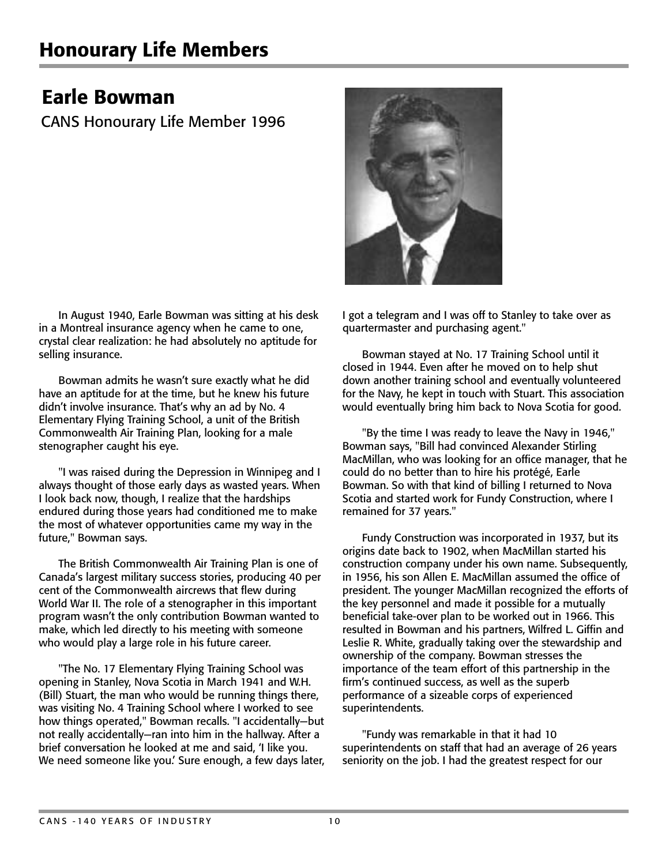## Earle Bowman

CANS Honourary Life Member 1996

In August 1940, Earle Bowman was sitting at his desk in a Montreal insurance agency when he came to one, crystal clear realization: he had absolutely no aptitude for selling insurance.

Bowman admits he wasn't sure exactly what he did have an aptitude for at the time, but he knew his future didn't involve insurance. That's why an ad by No. 4 Elementary Flying Training School, a unit of the British Commonwealth Air Training Plan, looking for a male stenographer caught his eye.

"I was raised during the Depression in Winnipeg and I always thought of those early days as wasted years. When I look back now, though, I realize that the hardships endured during those years had conditioned me to make the most of whatever opportunities came my way in the future," Bowman says.

The British Commonwealth Air Training Plan is one of Canada's largest military success stories, producing 40 per cent of the Commonwealth aircrews that flew during World War II. The role of a stenographer in this important program wasn't the only contribution Bowman wanted to make, which led directly to his meeting with someone who would play a large role in his future career.

"The No. 17 Elementary Flying Training School was opening in Stanley, Nova Scotia in March 1941 and W.H. (Bill) Stuart, the man who would be running things there, was visiting No. 4 Training School where I worked to see how things operated," Bowman recalls. "I accidentally—but not really accidentally—ran into him in the hallway. After a brief conversation he looked at me and said, 'I like you. We need someone like you.' Sure enough, a few days later, I got a telegram and I was off to Stanley to take over as quartermaster and purchasing agent."

Bowman stayed at No. 17 Training School until it closed in 1944. Even after he moved on to help shut down another training school and eventually volunteered for the Navy, he kept in touch with Stuart. This association would eventually bring him back to Nova Scotia for good.

"By the time I was ready to leave the Navy in 1946," Bowman says, "Bill had convinced Alexander Stirling MacMillan, who was looking for an office manager, that he could do no better than to hire his protégé, Earle Bowman. So with that kind of billing I returned to Nova Scotia and started work for Fundy Construction, where I remained for 37 years."

Fundy Construction was incorporated in 1937, but its origins date back to 1902, when MacMillan started his construction company under his own name. Subsequently, in 1956, his son Allen E. MacMillan assumed the office of president. The younger MacMillan recognized the efforts of the key personnel and made it possible for a mutually beneficial take-over plan to be worked out in 1966. This resulted in Bowman and his partners, Wilfred L. Giffin and Leslie R. White, gradually taking over the stewardship and ownership of the company. Bowman stresses the importance of the team effort of this partnership in the firm's continued success, as well as the superb performance of a sizeable corps of experienced superintendents.

"Fundy was remarkable in that it had 10 superintendents on staff that had an average of 26 years seniority on the job. I had the greatest respect for our